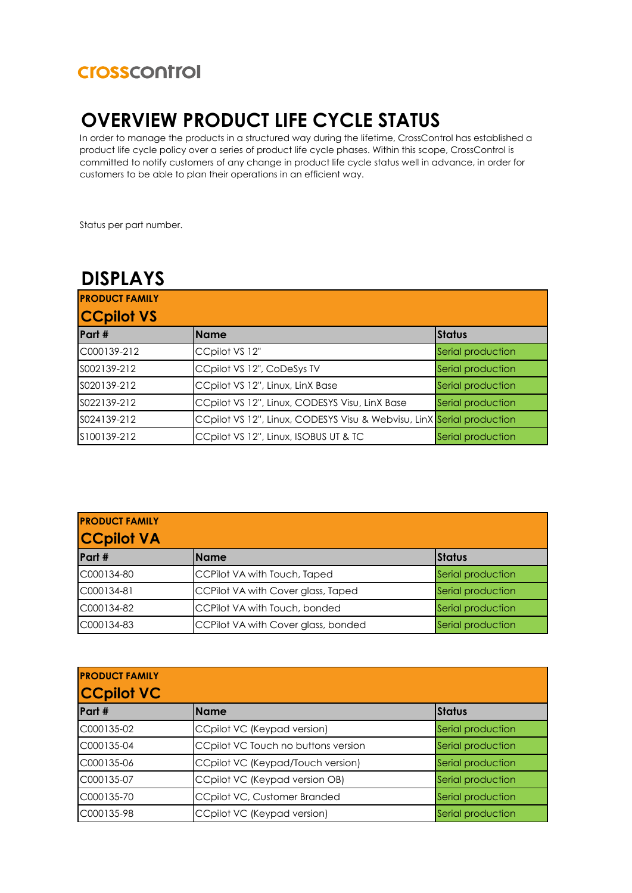#### **Crosscontrol**

## **OVERVIEW PRODUCT LIFE CYCLE STATUS**

In order to manage the products in a structured way during the lifetime, CrossControl has established a product life cycle policy over a series of product life cycle phases. Within this scope, CrossControl is committed to notify customers of any change in product life cycle status well in advance, in order for customers to be able to plan their operations in an efficient way.

Status per part number.

#### **DISPLAYS**

| <b>PRODUCT FAMILY</b> |                                                                       |                   |
|-----------------------|-----------------------------------------------------------------------|-------------------|
| <b>CCpilot VS</b>     |                                                                       |                   |
| Part #                | <b>Name</b>                                                           | <b>Status</b>     |
| C000139-212           | CCpilot VS 12"                                                        | Serial production |
| S002139-212           | CCpilot VS 12", CoDeSys TV                                            | Serial production |
| S020139-212           | CCpilot VS 12", Linux, LinX Base                                      | Serial production |
| S022139-212           | CCpilot VS 12", Linux, CODESYS Visu, LinX Base                        | Serial production |
| S024139-212           | CCpilot VS 12", Linux, CODESYS Visu & Webvisu, LinX Serial production |                   |
| S100139-212           | CCpilot VS 12", Linux, ISOBUS UT & TC                                 | Serial production |

| <b>PRODUCT FAMILY</b> |                                     |                   |
|-----------------------|-------------------------------------|-------------------|
| <b>CCpilot VA</b>     |                                     |                   |
| Part #                | <b>Name</b>                         | <b>Status</b>     |
| C000134-80            | CCPilot VA with Touch, Taped        | Serial production |
| C000134-81            | CCPilot VA with Cover glass, Taped  | Serial production |
| C000134-82            | CCPilot VA with Touch, bonded       | Serial production |
| C000134-83            | CCPilot VA with Cover glass, bonded | Serial production |

| <b>PRODUCT FAMILY</b><br><b>CCpilot VC</b> |                                     |                   |
|--------------------------------------------|-------------------------------------|-------------------|
| Part #                                     | <b>Name</b>                         | <b>Status</b>     |
| C000135-02                                 | CCpilot VC (Keypad version)         | Serial production |
| C000135-04                                 | CCpilot VC Touch no buttons version | Serial production |
| C000135-06                                 | CCpilot VC (Keypad/Touch version)   | Serial production |
| C000135-07                                 | CCpilot VC (Keypad version OB)      | Serial production |
| C000135-70                                 | CCpilot VC, Customer Branded        | Serial production |
| C000135-98                                 | CCpilot VC (Keypad version)         | Serial production |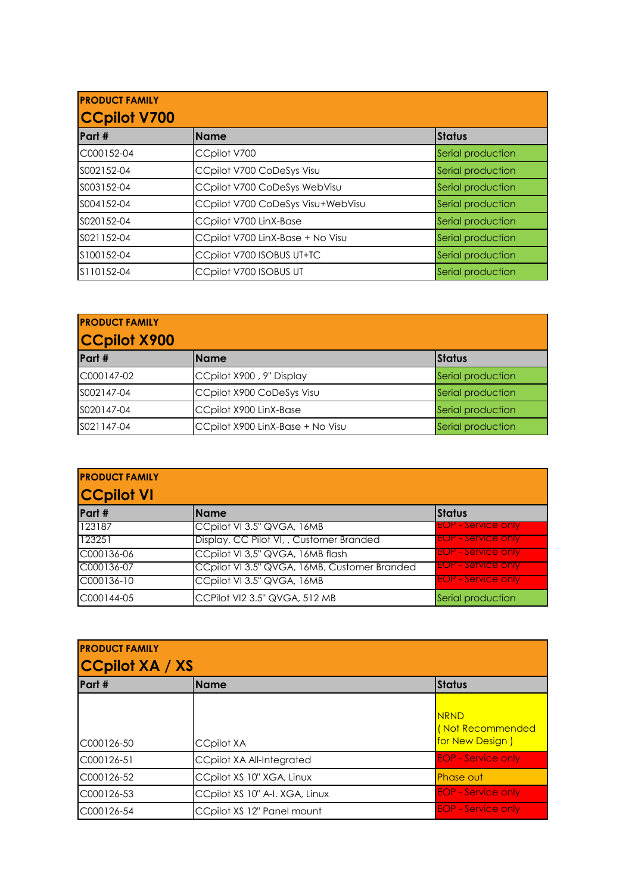| <b>PRODUCT FAMILY</b><br><b>CCpilot V700</b> |                                   |                   |
|----------------------------------------------|-----------------------------------|-------------------|
| Part #                                       | <b>Name</b>                       | <b>Status</b>     |
| C000152-04                                   | CCpilot V700                      | Serial production |
| S002152-04                                   | CCpilot V700 CoDeSys Visu         | Serial production |
| S003152-04                                   | CCpilot V700 CoDeSys WebVisu      | Serial production |
| S004152-04                                   | CCpilot V700 CoDeSys Visu+WebVisu | Serial production |
| S020152-04                                   | CCpilot V700 LinX-Base            | Serial production |
| S021152-04                                   | CCpilot V700 LinX-Base + No Visu  | Serial production |
| \$100152-04                                  | CCpilot V700 ISOBUS UT+TC         | Serial production |
| S110152-04                                   | CCpilot V700 ISOBUS UT            | Serial production |

| <b>PRODUCT FAMILY</b><br><b>CCpilot X900</b> |                                  |                   |
|----------------------------------------------|----------------------------------|-------------------|
| Part #                                       | <b>Name</b>                      | <b>Status</b>     |
| C000147-02                                   | CCpilot X900, 9" Display         | Serial production |
| S002147-04                                   | CCpilot X900 CoDeSys Visu        | Serial production |
| S020147-04                                   | CCpilot X900 LinX-Base           | Serial production |
| SO21147-04                                   | CCpilot X900 LinX-Base + No Visu | Serial production |

| <b>PRODUCT FAMILY</b><br><b>CCpilot VI</b> |                                              |                           |
|--------------------------------------------|----------------------------------------------|---------------------------|
| Part #                                     | <b>IName</b>                                 | <b>Status</b>             |
| 123187                                     | CCpilot VI 3.5" QVGA, 16MB                   | <b>EOP - Service only</b> |
| 123251                                     | Display, CC Pilot VI, , Customer Branded     | <b>EOP - Service only</b> |
| C000136-06                                 | CCpilot VI 3,5" QVGA, 16MB flash             | <b>EOP - Service only</b> |
| C000136-07                                 | CCpilot VI 3.5" QVGA, 16MB, Customer Branded | <b>EOP - Service only</b> |
| C000136-10                                 | CCpilot VI 3.5" QVGA, 16MB                   | <b>EOP - Service only</b> |
| C000144-05                                 | CCPilot VI2 3.5" QVGA, 512 MB                | Serial production         |

| <b>PRODUCT FAMILY</b><br><b>CCpilot XA / XS</b> |                                  |                                                    |
|-------------------------------------------------|----------------------------------|----------------------------------------------------|
| Part #                                          | <b>Name</b>                      | <b>Status</b>                                      |
| C000126-50                                      | <b>CCpilot XA</b>                | <b>NRND</b><br>(Not Recommended<br>for New Design) |
| C000126-51                                      | <b>CCpilot XA All-Integrated</b> | <b>EOP - Service only</b>                          |
| C000126-52                                      | CCpilot XS 10" XGA, Linux        | <b>Phase out</b>                                   |
| C000126-53                                      | CCpilot XS 10" A-I. XGA, Linux   | <b>EOP - Service only</b>                          |
| C000126-54                                      | CCpilot XS 12" Panel mount       | <b>EOP - Service only</b>                          |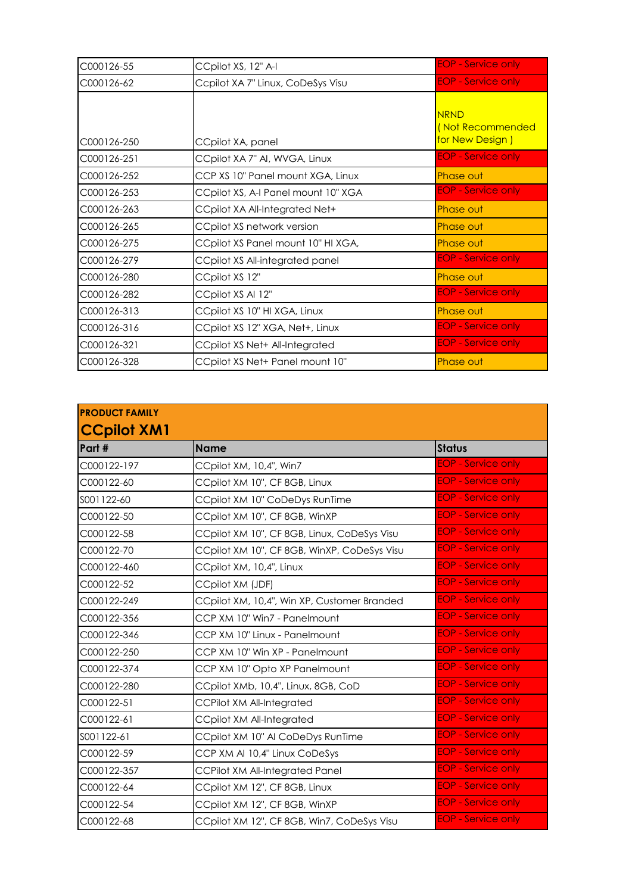| C000126-55  | CCpilot XS, 12" A-I                 | <b>EOP - Service only</b>                          |
|-------------|-------------------------------------|----------------------------------------------------|
| C000126-62  | Ccpilot XA 7" Linux, CoDeSys Visu   | <b>EOP</b> - Service only                          |
| C000126-250 | CCpilot XA, panel                   | <b>NRND</b><br>(Not Recommended<br>for New Design) |
| C000126-251 | CCpilot XA 7" AI, WVGA, Linux       | <b>EOP - Service only</b>                          |
| C000126-252 | CCP XS 10" Panel mount XGA, Linux   | <b>Phase out</b>                                   |
| C000126-253 | CCpilot XS, A-I Panel mount 10" XGA | <b>EOP - Service only</b>                          |
| C000126-263 | CCpilot XA All-Integrated Net+      | <b>Phase out</b>                                   |
| C000126-265 | CCpilot XS network version          | <b>Phase out</b>                                   |
| C000126-275 | CCpilot XS Panel mount 10" HI XGA,  | <b>Phase out</b>                                   |
| C000126-279 | CCpilot XS All-integrated panel     | <b>EOP - Service only</b>                          |
| C000126-280 | CCpilot XS 12"                      | <b>Phase out</b>                                   |
| C000126-282 | CCpilot XS Al 12"                   | <b>EOP - Service only</b>                          |
| C000126-313 | CCpilot XS 10" HI XGA, Linux        | Phase out                                          |
| C000126-316 | CCpilot XS 12" XGA, Net+, Linux     | <b>EOP - Service only</b>                          |
| C000126-321 | CCpilot XS Net+ All-Integrated      | <b>EOP</b> - Service only                          |
| C000126-328 | CCpilot XS Net+ Panel mount 10"     | <b>Phase out</b>                                   |

| <b>PRODUCT FAMILY</b><br><b>CCpilot XM1</b> |                                             |                           |
|---------------------------------------------|---------------------------------------------|---------------------------|
|                                             |                                             |                           |
| C000122-197                                 | CCpilot XM, 10,4", Win7                     | <b>EOP - Service only</b> |
| C000122-60                                  | CCpilot XM 10", CF 8GB, Linux               | <b>EOP - Service only</b> |
| SOO1122-60                                  | CCpilot XM 10" CoDeDys RunTime              | <b>EOP - Service only</b> |
| C000122-50                                  | CCpilot XM 10", CF 8GB, WinXP               | <b>EOP - Service only</b> |
| C000122-58                                  | CCpilot XM 10", CF 8GB, Linux, CoDeSys Visu | <b>EOP - Service only</b> |
| C000122-70                                  | CCpilot XM 10", CF 8GB, WinXP, CoDeSys Visu | <b>EOP - Service only</b> |
| C000122-460                                 | CCpilot XM, 10,4", Linux                    | <b>EOP - Service only</b> |
| C000122-52                                  | CCpilot XM (JDF)                            | <b>EOP - Service only</b> |
| C000122-249                                 | CCpilot XM, 10,4", Win XP, Customer Branded | <b>EOP - Service only</b> |
| C000122-356                                 | CCP XM 10" Win7 - Panelmount                | <b>EOP - Service only</b> |
| C000122-346                                 | CCP XM 10" Linux - Panelmount               | <b>EOP - Service only</b> |
| C000122-250                                 | CCP XM 10" Win XP - Panelmount              | <b>EOP - Service only</b> |
| C000122-374                                 | CCP XM 10" Opto XP Panelmount               | <b>EOP - Service only</b> |
| C000122-280                                 | CCpilot XMb, 10,4", Linux, 8GB, CoD         | <b>EOP - Service only</b> |
| C000122-51                                  | <b>CCPilot XM All-Integrated</b>            | <b>EOP - Service only</b> |
| C000122-61                                  | CCpilot XM All-Integrated                   | <b>EOP - Service only</b> |
| SOO1122-61                                  | CCpilot XM 10" Al CoDeDys RunTime           | <b>EOP - Service only</b> |
| C000122-59                                  | CCP XM AI 10,4" Linux CoDeSys               | <b>EOP - Service only</b> |
| C000122-357                                 | <b>CCPilot XM All-Integrated Panel</b>      | <b>EOP - Service only</b> |
| C000122-64                                  | CCpilot XM 12", CF 8GB, Linux               | <b>EOP - Service only</b> |
| C000122-54                                  | CCpilot XM 12", CF 8GB, WinXP               | <b>EOP - Service only</b> |
| C000122-68                                  | CCpilot XM 12", CF 8GB, Win7, CoDeSys Visu  | <b>EOP - Service only</b> |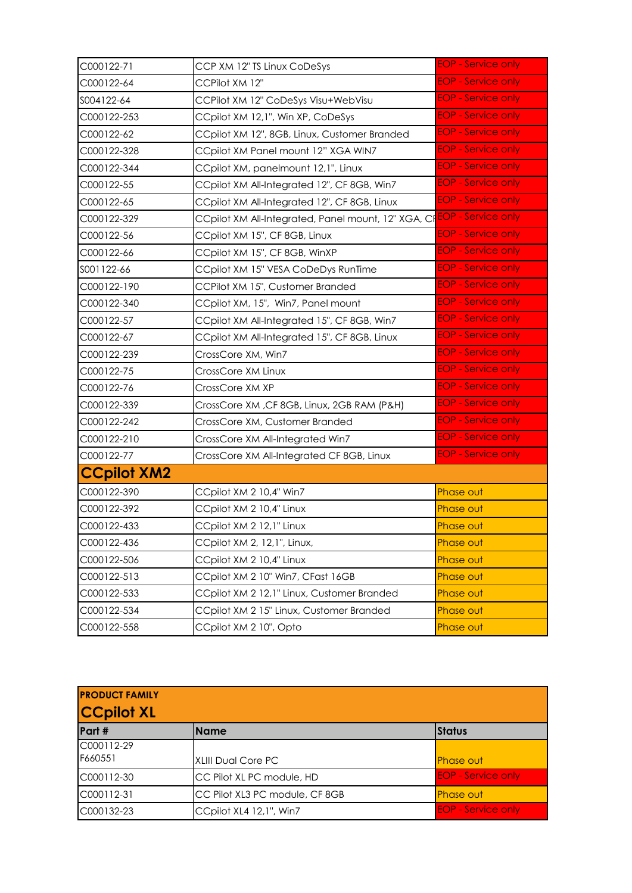| C000122-71         | CCP XM 12" TS Linux CoDeSys                                                         | <b>EOP</b> - Service only |
|--------------------|-------------------------------------------------------------------------------------|---------------------------|
| C000122-64         | CCPilot XM 12"                                                                      | <b>EOP - Service only</b> |
| S004122-64         | CCPilot XM 12" CoDeSys Visu+WebVisu                                                 | <b>EOP - Service only</b> |
| C000122-253        | CCpilot XM 12,1", Win XP, CoDeSys                                                   | <b>EOP - Service only</b> |
| C000122-62         | CCpilot XM 12", 8GB, Linux, Customer Branded                                        | <b>EOP - Service only</b> |
| C000122-328        | CCpilot XM Panel mount 12" XGA WIN7                                                 | <b>EOP - Service only</b> |
| C000122-344        | CCpilot XM, panelmount 12,1", Linux                                                 | <b>EOP - Service only</b> |
| C000122-55         | CCpilot XM All-Integrated 12", CF 8GB, Win7                                         | <b>EOP - Service only</b> |
| C000122-65         | CCpilot XM All-Integrated 12", CF 8GB, Linux                                        | <b>EOP - Service only</b> |
| C000122-329        | CCpilot XM All-Integrated, Panel mount, 12" XGA, CI <mark>EOP - Service only</mark> |                           |
| C000122-56         | CCpilot XM 15", CF 8GB, Linux                                                       | <b>EOP - Service only</b> |
| C000122-66         | CCpilot XM 15", CF 8GB, WinXP                                                       | <b>EOP - Service only</b> |
| SOO1122-66         | CCpilot XM 15" VESA CoDeDys RunTime                                                 | <b>EOP - Service only</b> |
| C000122-190        | CCPilot XM 15", Customer Branded                                                    | <b>EOP - Service only</b> |
| C000122-340        | CCpilot XM, 15", Win7, Panel mount                                                  | <b>EOP - Service only</b> |
| C000122-57         | CCpilot XM All-Integrated 15", CF 8GB, Win7                                         | <b>EOP - Service only</b> |
| C000122-67         | CCpilot XM All-Integrated 15", CF 8GB, Linux                                        | <b>EOP - Service only</b> |
| C000122-239        | CrossCore XM, Win7                                                                  | <b>EOP - Service only</b> |
| C000122-75         | CrossCore XM Linux                                                                  | <b>EOP - Service only</b> |
| C000122-76         | CrossCore XM XP                                                                     | <b>EOP - Service only</b> |
| C000122-339        | CrossCore XM, CF 8GB, Linux, 2GB RAM (P&H)                                          | <b>EOP - Service only</b> |
| C000122-242        | CrossCore XM, Customer Branded                                                      | <b>EOP - Service only</b> |
| C000122-210        | CrossCore XM All-Integrated Win7                                                    | <b>EOP - Service only</b> |
| C000122-77         | CrossCore XM All-Integrated CF 8GB, Linux                                           | <b>EOP - Service only</b> |
| <b>CCpilot XM2</b> |                                                                                     |                           |
| C000122-390        | CCpilot XM 2 10,4" Win7                                                             | Phase out                 |
| C000122-392        | CCpilot XM 2 10,4" Linux                                                            | Phase out                 |
| C000122-433        | CCpilot XM 2 12,1" Linux                                                            | Phase out                 |
| C000122-436        | CCpilot XM 2, 12,1", Linux,                                                         | Phase out                 |
| C000122-506        | CCpilot XM 2 10,4" Linux                                                            | Phase out                 |
| C000122-513        | CCpilot XM 2 10" Win7, CFast 16GB                                                   | Phase out                 |
| C000122-533        | CCpilot XM 2 12,1" Linux, Customer Branded                                          | Phase out                 |
| C000122-534        | CCpilot XM 2 15" Linux, Customer Branded                                            | Phase out                 |
| C000122-558        | CCpilot XM 2 10", Opto                                                              | Phase out                 |

| <b>PRODUCT FAMILY</b> |                                |                           |
|-----------------------|--------------------------------|---------------------------|
| <b>CCpilot XL</b>     |                                |                           |
| Part #                | <b>Name</b>                    | <b>Status</b>             |
| C000112-29            |                                |                           |
| F660551               | <b>XLIII Dual Core PC</b>      | <b>Phase out</b>          |
| C000112-30            | CC Pilot XL PC module, HD      | <b>EOP - Service only</b> |
| C000112-31            | CC Pilot XL3 PC module, CF 8GB | <b>Phase out</b>          |
| C000132-23            | CCpilot XL4 12,1", Win7        | <b>EOP - Service only</b> |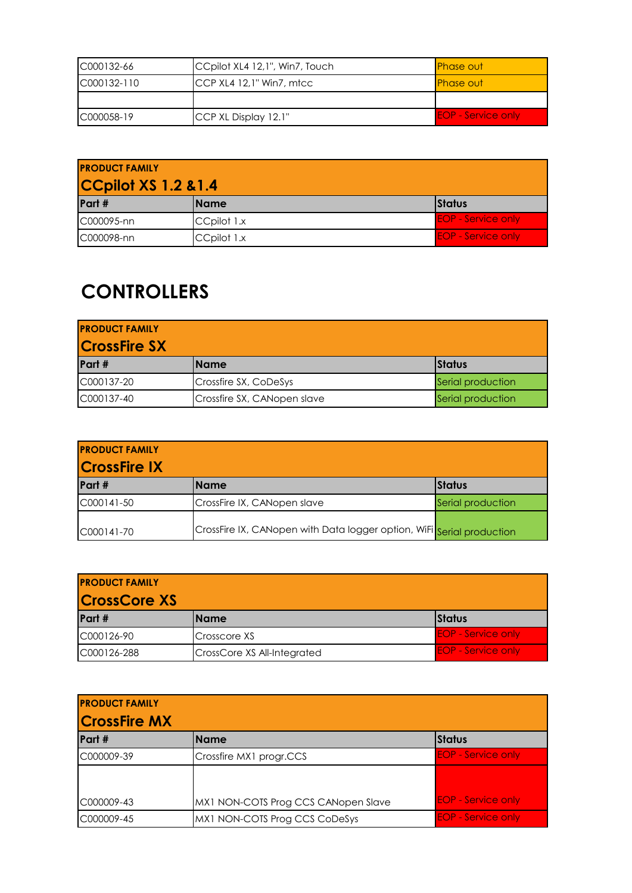| C000132-66   | CCpilot XL4 12,1", Win7, Touch      | <b>Phase out</b>          |
|--------------|-------------------------------------|---------------------------|
| IC000132-110 | CCP XL4 12.1" Win7, m <sub>tc</sub> | <b>Phase out</b>          |
|              |                                     |                           |
| C000058-19   | CCP XL Display 12.1"                | <b>EOP</b> - Service only |

| <b>PRODUCT FAMILY</b><br><b>CCpilot XS 1.2 &amp; 1.4</b> |             |                           |
|----------------------------------------------------------|-------------|---------------------------|
| Part #                                                   | IName       | <b>I</b> Status           |
| C000095-nn                                               | CCpilot 1.x | <b>EOP - Service only</b> |
| C000098-nn                                               | CCpilot 1.x | <b>EOP - Service only</b> |

## **CONTROLLERS**

| <b>PRODUCT FAMILY</b> |                             |                   |
|-----------------------|-----------------------------|-------------------|
| <b>CrossFire SX</b>   |                             |                   |
| Part #                | l Name                      | <b>Status</b>     |
| C000137-20            | Crossfire SX, CoDeSys       | Serial production |
| C000137-40            | Crossfire SX, CANopen slave | Serial production |

| <b>PRODUCT FAMILY</b><br><b>CrossFire IX</b> |                                                                       |                   |  |
|----------------------------------------------|-----------------------------------------------------------------------|-------------------|--|
| Part #                                       | l Name                                                                | IStatus           |  |
| C000141-50                                   | CrossFire IX, CANopen slave                                           | Serial production |  |
| C000141-70                                   | CrossFire IX, CANopen with Data logger option, WiFi Serial production |                   |  |

| <b>PRODUCT FAMILY</b><br><b>CrossCore XS</b> |                             |                           |
|----------------------------------------------|-----------------------------|---------------------------|
| Part #                                       | Name                        | <b>Status</b>             |
| C000126-90                                   | Crosscore XS                | <b>EOP</b> - Service only |
| C000126-288                                  | CrossCore XS All-Integrated | <b>EOP - Service only</b> |

| <b>PRODUCT FAMILY</b><br><b>CrossFire MX</b> |                                     |                           |
|----------------------------------------------|-------------------------------------|---------------------------|
| Part #                                       | <b>Name</b>                         | <b>Status</b>             |
| C000009-39                                   | Crossfire MX1 progr.CCS             | <b>EOP - Service only</b> |
|                                              |                                     |                           |
| C000009-43                                   | MX1 NON-COTS Prog CCS CANopen Slave | <b>EOP - Service only</b> |
| C000009-45                                   | MX1 NON-COTS Prog CCS CoDeSys       | <b>EOP - Service only</b> |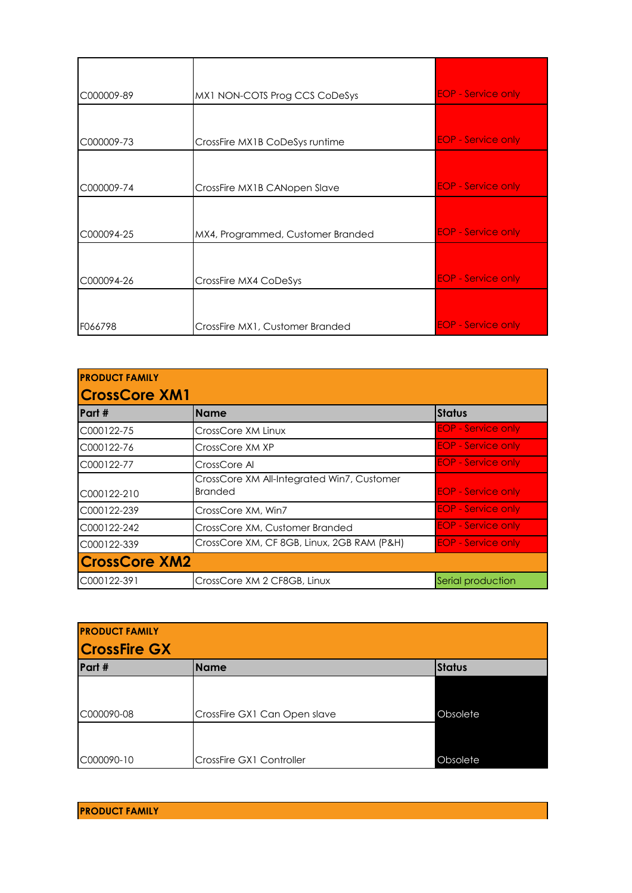| C000009-89 | MX1 NON-COTS Prog CCS CoDeSys     | <b>EOP</b> - Service only |
|------------|-----------------------------------|---------------------------|
|            |                                   |                           |
| C000009-73 | CrossFire MX1B CoDeSys runtime    | <b>EOP</b> - Service only |
|            |                                   |                           |
| C000009-74 | CrossFire MX1B CANopen Slave      | <b>EOP</b> - Service only |
|            |                                   |                           |
| C000094-25 | MX4, Programmed, Customer Branded | <b>EOP - Service only</b> |
|            |                                   |                           |
| C000094-26 | CrossFire MX4 CoDeSys             | <b>EOP - Service only</b> |
|            |                                   |                           |
| F066798    | CrossFire MX1, Customer Branded   | <b>EOP - Service only</b> |

| <b>PRODUCT FAMILY</b> |                                                              |                           |  |
|-----------------------|--------------------------------------------------------------|---------------------------|--|
| <b>CrossCore XM1</b>  |                                                              |                           |  |
| Part #                | <b>Name</b>                                                  | <b>Status</b>             |  |
| C000122-75            | CrossCore XM Linux                                           | <b>EOP - Service only</b> |  |
| C000122-76            | CrossCore XM XP                                              | <b>EOP - Service only</b> |  |
| C000122-77            | CrossCore Al                                                 | <b>EOP - Service only</b> |  |
| C000122-210           | CrossCore XM All-Integrated Win7, Customer<br><b>Branded</b> | <b>EOP</b> - Service only |  |
| C000122-239           | CrossCore XM, Win7                                           | <b>EOP - Service only</b> |  |
| C000122-242           | CrossCore XM, Customer Branded                               | <b>EOP</b> - Service only |  |
| C000122-339           | CrossCore XM, CF 8GB, Linux, 2GB RAM (P&H)                   | <b>EOP - Service only</b> |  |
| <b>CrossCore XM2</b>  |                                                              |                           |  |
| C000122-391           | CrossCore XM 2 CF8GB, Linux                                  | Serial production         |  |

| <b>PRODUCT FAMILY</b><br><b>CrossFire GX</b> |                              |               |  |
|----------------------------------------------|------------------------------|---------------|--|
| Part #                                       | <b>Name</b>                  | <b>Status</b> |  |
|                                              |                              |               |  |
| C000090-08                                   | CrossFire GX1 Can Open slave | Obsolete      |  |
|                                              |                              |               |  |
| C000090-10                                   | CrossFire GX1 Controller     | Obsolete      |  |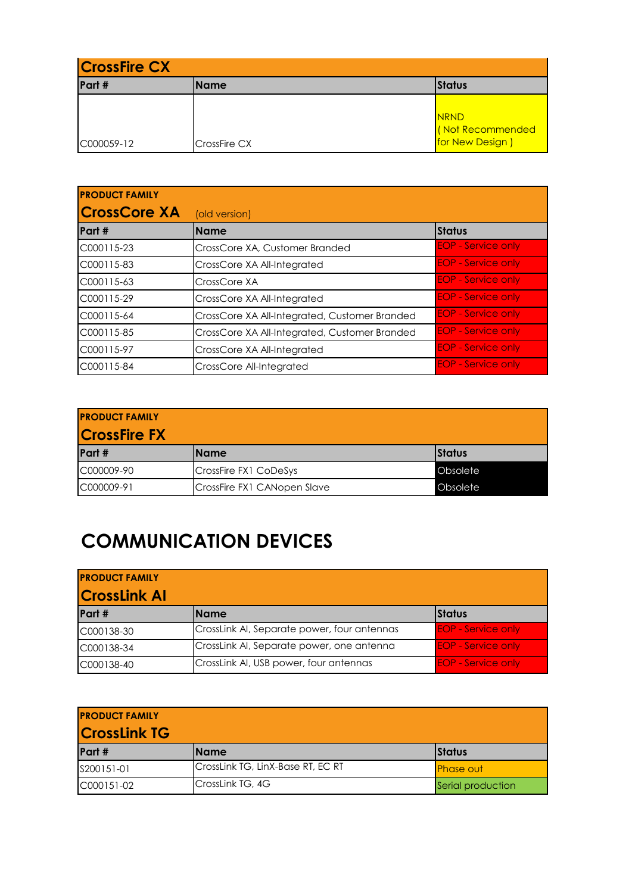| <b>CrossFire CX</b> |              |                                                    |
|---------------------|--------------|----------------------------------------------------|
| Part #              | <b>Name</b>  | <b>Status</b>                                      |
| C000059-12          | CrossFire CX | <b>NRND</b><br>(Not Recommended<br>for New Design) |

| <b>PRODUCT FAMILY</b> |                                               |                           |
|-----------------------|-----------------------------------------------|---------------------------|
| <b>CrossCore XA</b>   | (old version)                                 |                           |
| Part #                | <b>Name</b>                                   | <b>Status</b>             |
| C000115-23            | CrossCore XA, Customer Branded                | <b>EOP - Service only</b> |
| C000115-83            | CrossCore XA All-Integrated                   | <b>EOP - Service only</b> |
| C000115-63            | CrossCore XA                                  | <b>EOP - Service only</b> |
| C000115-29            | CrossCore XA All-Integrated                   | <b>EOP - Service only</b> |
| C000115-64            | CrossCore XA All-Integrated, Customer Branded | <b>EOP - Service only</b> |
| C000115-85            | CrossCore XA All-Integrated, Customer Branded | <b>EOP - Service only</b> |
| C000115-97            | CrossCore XA All-Integrated                   | <b>EOP - Service only</b> |
| C000115-84            | CrossCore All-Integrated                      | <b>EOP - Service only</b> |

| <b>PRODUCT FAMILY</b> |                             |               |
|-----------------------|-----------------------------|---------------|
| <b>CrossFire FX</b>   |                             |               |
| Part #                | l Name                      | <b>Status</b> |
| C000009-90            | CrossFire FX1 CoDeSys       | Obsolete      |
| C000009-91            | CrossFire FX1 CANopen Slave | Obsolete      |

# **COMMUNICATION DEVICES**

| <b>PRODUCT FAMILY</b><br><b>CrossLink AI</b> |                                             |                           |
|----------------------------------------------|---------------------------------------------|---------------------------|
| Part #                                       | <b>Name</b>                                 | <b>Status</b>             |
| C000138-30                                   | CrossLink AI, Separate power, four antennas | <b>EOP - Service only</b> |
| C000138-34                                   | CrossLink AI, Separate power, one antenna   | <b>EOP - Service only</b> |
| C000138-40                                   | CrossLink AI, USB power, four antennas      | <b>EOP - Service only</b> |

| <b>PRODUCT FAMILY</b><br><b>CrossLink TG</b> |                                   |                   |  |  |
|----------------------------------------------|-----------------------------------|-------------------|--|--|
| Part #                                       | l Name                            | <b>Status</b>     |  |  |
| S200151-01                                   | CrossLink TG, LinX-Base RT, EC RT | <b>Phase out</b>  |  |  |
| C000151-02                                   | CrossLink TG, 4G                  | Serial production |  |  |